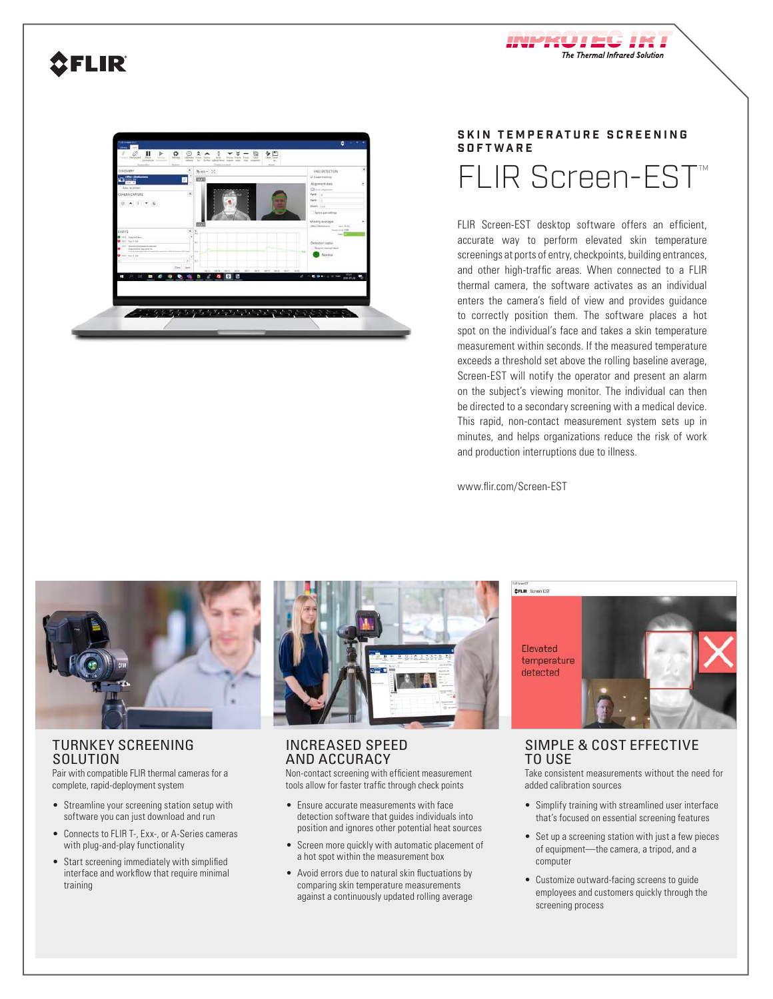## **SFLIR**



#### **SKIN TEMPERATURE SCREENING SOFTWARE**

The Thermal Infrared Solution

# FLIR Screen-EST<sup>™</sup>

FLIR Screen-EST desktop software offers an efficient, accurate way to perform elevated skin temperature screenings at ports of entry, checkpoints, building entrances, and other high-traffic areas. When connected to a FLIR thermal camera, the software activates as an individual enters the camera's field of view and provides guidance to correctly position them. The software places a hot spot on the individual's face and takes a skin temperature measurement within seconds. If the measured temperature exceeds a threshold set above the rolling baseline average, Screen-EST will notify the operator and present an alarm on the subject's viewing monitor. The individual can then be directed to a secondary screening with a medical device. This rapid, non-contact measurement system sets up in minutes, and helps organizations reduce the risk of work and production interruptions due to illness.

www.flir.com/Screen-EST



#### TURNKEY SCREENING **SOLUTION**

Pair with compatible FLIR thermal cameras for a complete, rapid-deployment system

- Streamline your screening station setup with software you can just download and run
- Connects to FLIR T-, Exx-, or A-Series cameras with plug-and-play functionality
- Start screening immediately with simplified interface and workflow that require minimal training



### INCREASED SPEED AND ACCURACY

Non-contact screening with efficient measurement tools allow for faster traffic through check points

- Ensure accurate measurements with face detection software that guides individuals into position and ignores other potential heat sources
- Screen more quickly with automatic placement of a hot spot within the measurement box
- Avoid errors due to natural skin fluctuations by comparing skin temperature measurements against a continuously updated rolling average

**OFLIR** Streen EST Elevated temperature detected

SIMPLE & COST EFFECTIVE TO USE

Take consistent measurements without the need for added calibration sources

- Simplify training with streamlined user interface that's focused on essential screening features
- Set up a screening station with just a few pieces of equipment—the camera, a tripod, and a computer
- Customize outward-facing screens to guide employees and customers quickly through the screening process